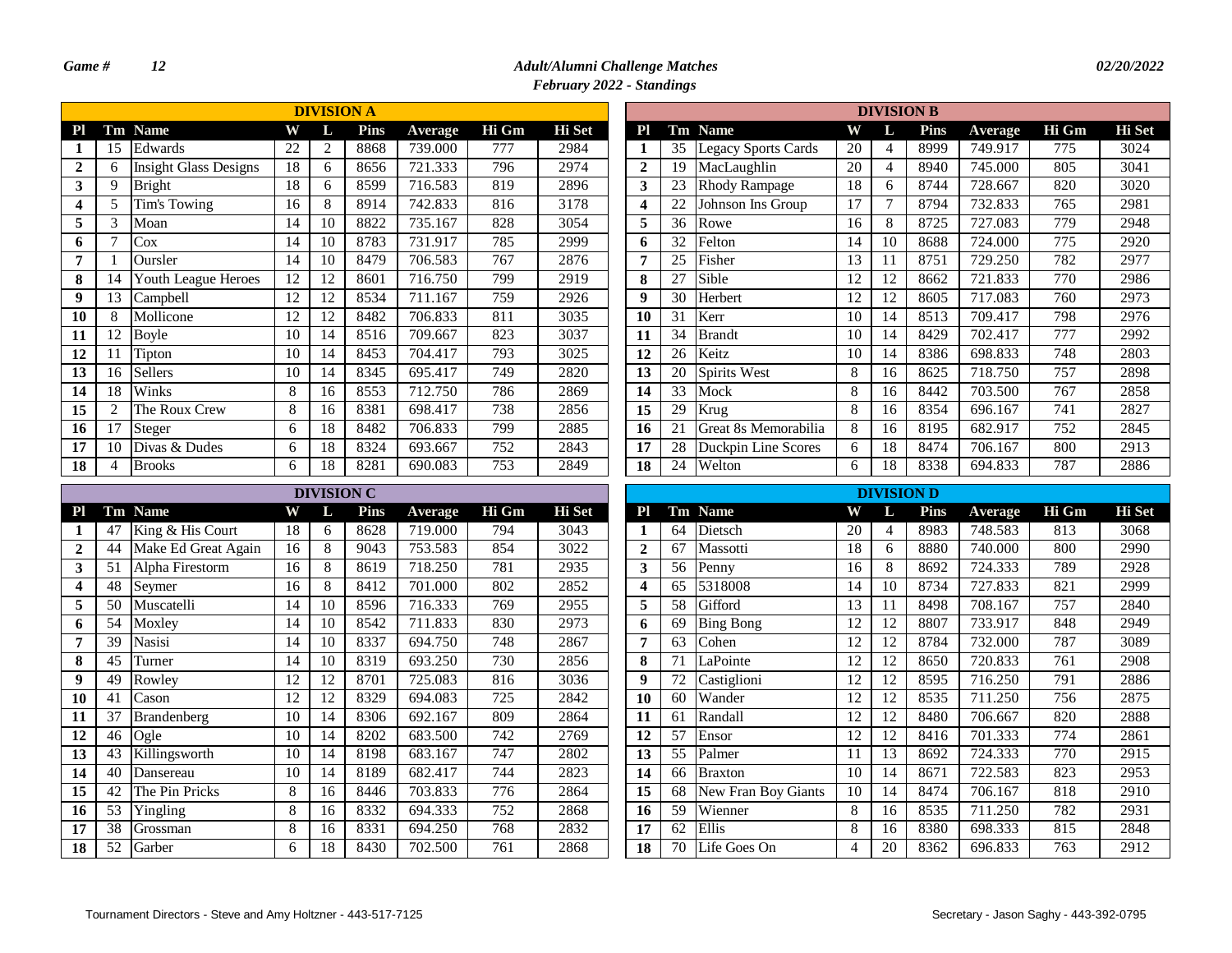# *Game # 12 Adult/Alumni Challenge Matches 02/20/2022*

*February 2022 - Standings*

|              |                |                              |    | <b>DIVISION A</b> |             |         |       |               |              |    |                            |    | <b>DIVISION B</b> |     |
|--------------|----------------|------------------------------|----|-------------------|-------------|---------|-------|---------------|--------------|----|----------------------------|----|-------------------|-----|
| Pl           | Tm             | <b>Name</b>                  | W  | L                 | <b>Pins</b> | Average | Hi Gm | <b>Hi</b> Set | Pl           | Tm | <b>Name</b>                | W  | L                 | Pir |
|              | 15             | Edwards                      | 22 | 2                 | 8868        | 739.000 | 777   | 2984          | 1            | 35 | <b>Legacy Sports Cards</b> | 20 | 4                 | 899 |
| $\mathbf{2}$ | 6              | <b>Insight Glass Designs</b> | 18 | 6                 | 8656        | 721.333 | 796   | 2974          | $\mathbf{2}$ | 19 | MacLaughlin                | 20 | 4                 | 894 |
| 3            | 9              | <b>Bright</b>                | 18 | 6                 | 8599        | 716.583 | 819   | 2896          | 3            | 23 | <b>Rhody Rampage</b>       | 18 | 6                 | 874 |
| 4            | 5              | Tim's Towing                 | 16 | 8                 | 8914        | 742.833 | 816   | 3178          | 4            | 22 | Johnson Ins Group          | 17 |                   | 879 |
| 5            | 3              | Moan                         | 14 | 10                | 8822        | 735.167 | 828   | 3054          | 5            | 36 | Rowe                       | 16 | 8                 | 872 |
| 6            | 7              | Cox                          | 14 | 10                | 8783        | 731.917 | 785   | 2999          | 6            | 32 | Felton                     | 14 | 10                | 868 |
| 7            |                | Oursler                      | 14 | 10                | 8479        | 706.583 | 767   | 2876          | 7            | 25 | Fisher                     | 13 | 11                | 875 |
| 8            | 14             | Youth League Heroes          | 12 | 12                | 8601        | 716.750 | 799   | 2919          | 8            | 27 | Sible                      | 12 | 12                | 866 |
| 9            | 13             | Campbell                     | 12 | 12                | 8534        | 711.167 | 759   | 2926          | 9            | 30 | Herbert                    | 12 | 12                | 860 |
| 10           | 8              | Mollicone                    | 12 | 12                | 8482        | 706.833 | 811   | 3035          | 10           | 31 | Kerr                       | 10 | 14                | 851 |
| 11           | 12             | <b>Boyle</b>                 | 10 | 14                | 8516        | 709.667 | 823   | 3037          | 11           | 34 | <b>Brandt</b>              | 10 | 14                | 842 |
| 12           | 11             | Tipton                       | 10 | 14                | 8453        | 704.417 | 793   | 3025          | 12           | 26 | Keitz                      | 10 | 14                | 838 |
| 13           | 16             | Sellers                      | 10 | 14                | 8345        | 695.417 | 749   | 2820          | 13           | 20 | Spirits West               | 8  | 16                | 862 |
| 14           | 18             | Winks                        | 8  | 16                | 8553        | 712.750 | 786   | 2869          | 14           | 33 | Mock                       | 8  | 16                | 844 |
| 15           | $\overline{2}$ | The Roux Crew                | 8  | 16                | 8381        | 698.417 | 738   | 2856          | 15           | 29 | Krug                       | 8  | 16                | 835 |
| 16           | 17             | Steger                       | 6  | 18                | 8482        | 706.833 | 799   | 2885          | 16           | 21 | Great 8s Memorabilia       | 8  | 16                | 819 |
| 17           | 10             | Divas & Dudes                | 6  | 18                | 8324        | 693.667 | 752   | 2843          | 17           | 28 | Duckpin Line Scores        | 6  | 18                | 847 |
| 18           | 4              | <b>Brooks</b>                | 6  | 18                | 8281        | 690.083 | 753   | 2849          | 18           | 24 | Welton                     | 6  | 18                | 833 |
|              |                |                              |    | DIVISION C        |             |         |       |               |              |    |                            |    | <b>DIVISION D</b> |     |

|              |    |                     |    | DIVISION C |      |         |       |               |
|--------------|----|---------------------|----|------------|------|---------|-------|---------------|
| ${\bf Pl}$   |    | Tm Name             | W  | L          | Pins | Average | Hi Gm | <b>Hi</b> Set |
| 1            | 47 | King & His Court    | 18 | 6          | 8628 | 719.000 | 794   | 3043          |
| $\mathbf{2}$ | 44 | Make Ed Great Again | 16 | 8          | 9043 | 753.583 | 854   | 3022          |
| 3            | 51 | Alpha Firestorm     | 16 | 8          | 8619 | 718.250 | 781   | 2935          |
| 4            | 48 | Seymer              | 16 | 8          | 8412 | 701.000 | 802   | 2852          |
| 5            | 50 | Muscatelli          | 14 | 10         | 8596 | 716.333 | 769   | 2955          |
| 6            | 54 | Moxley              | 14 | 10         | 8542 | 711.833 | 830   | 2973          |
| 7            | 39 | Nasisi              | 14 | 10         | 8337 | 694.750 | 748   | 2867          |
| 8            | 45 | Turner              | 14 | 10         | 8319 | 693.250 | 730   | 2856          |
| 9            | 49 | Rowley              | 12 | 12         | 8701 | 725.083 | 816   | 3036          |
| 10           | 41 | Cason               | 12 | 12         | 8329 | 694.083 | 725   | 2842          |
| 11           | 37 | <b>Brandenberg</b>  | 10 | 14         | 8306 | 692.167 | 809   | 2864          |
| 12           | 46 | Ogle                | 10 | 14         | 8202 | 683.500 | 742   | 2769          |
| 13           | 43 | Killingsworth       | 10 | 14         | 8198 | 683.167 | 747   | 2802          |
| 14           | 40 | Dansereau           | 10 | 14         | 8189 | 682.417 | 744   | 2823          |
| 15           | 42 | The Pin Pricks      | 8  | 16         | 8446 | 703.833 | 776   | 2864          |
| 16           | 53 | Yingling            | 8  | 16         | 8332 | 694.333 | 752   | 2868          |
| 17           | 38 | Grossman            | 8  | 16         | 8331 | 694.250 | 768   | 2832          |
| 18           | 52 | Garber              | 6  | 18         | 8430 | 702.500 | 761   | 2868          |

|                         |    |                            |    | <b>DIVISION B</b> |      |         |       |        |
|-------------------------|----|----------------------------|----|-------------------|------|---------|-------|--------|
| P <sub>l</sub>          |    | Tm Name                    | W  | L                 | Pins | Average | Hi Gm | Hi Set |
| 1                       | 35 | <b>Legacy Sports Cards</b> | 20 | 4                 | 8999 | 749.917 | 775   | 3024   |
| $\overline{2}$          | 19 | MacLaughlin                | 20 | 4                 | 8940 | 745.000 | 805   | 3041   |
| 3                       | 23 | Rhody Rampage              | 18 | 6                 | 8744 | 728.667 | 820   | 3020   |
| $\overline{\mathbf{4}}$ | 22 | Johnson Ins Group          | 17 | $\overline{7}$    | 8794 | 732.833 | 765   | 2981   |
| 5                       | 36 | Rowe                       | 16 | 8                 | 8725 | 727.083 | 779   | 2948   |
| 6                       | 32 | Felton                     | 14 | 10                | 8688 | 724.000 | 775   | 2920   |
| 7                       | 25 | Fisher                     | 13 | 11                | 8751 | 729.250 | 782   | 2977   |
| 8                       | 27 | Sible                      | 12 | 12                | 8662 | 721.833 | 770   | 2986   |
| $\boldsymbol{9}$        | 30 | Herbert                    | 12 | 12                | 8605 | 717.083 | 760   | 2973   |
| 10                      | 31 | Kerr                       | 10 | 14                | 8513 | 709.417 | 798   | 2976   |
| 11                      | 34 | <b>Brandt</b>              | 10 | 14                | 8429 | 702.417 | 777   | 2992   |
| 12                      | 26 | Keitz                      | 10 | 14                | 8386 | 698.833 | 748   | 2803   |
| 13                      | 20 | Spirits West               | 8  | 16                | 8625 | 718.750 | 757   | 2898   |
| 14                      | 33 | Mock                       | 8  | 16                | 8442 | 703.500 | 767   | 2858   |
| 15                      | 29 | Krug                       | 8  | 16                | 8354 | 696.167 | 741   | 2827   |
| 16                      | 21 | Great 8s Memorabilia       | 8  | 16                | 8195 | 682.917 | 752   | 2845   |
| 17                      | 28 | Duckpin Line Scores        | 6  | 18                | 8474 | 706.167 | 800   | 2913   |
| 18                      | 24 | Welton                     | 6  | 18                | 8338 | 694.833 | 787   | 2886   |

| <b>DIVISION C</b> |             |                |       |               |                                                     |    |                     |    | <b>DIVISION D</b> |             |         |       |               |
|-------------------|-------------|----------------|-------|---------------|-----------------------------------------------------|----|---------------------|----|-------------------|-------------|---------|-------|---------------|
| L                 | <b>Pins</b> | <b>Average</b> | Hi Gm | <b>Hi</b> Set | P <sub>l</sub>                                      |    | Tm Name             | W  | L                 | <b>Pins</b> | Average | Hi Gm | <b>Hi</b> Set |
| 6                 | 8628        | 719.000        | 794   | 3043          | 1                                                   | 64 | Dietsch             | 20 | 4                 | 8983        | 748.583 | 813   | 3068          |
| 8                 | 9043        | 753.583        | 854   | 3022          | $\overline{2}$                                      | 67 | Massotti            | 18 | 6                 | 8880        | 740.000 | 800   | 2990          |
| 8                 | 8619        | 718.250        | 781   | 2935          | 3<br>56<br>65<br>4<br>5<br>58<br>69<br>6<br>7<br>63 |    | Penny               | 16 | 8                 | 8692        | 724.333 | 789   | 2928          |
| 8                 | 8412        | 701.000        | 802   | 2852          |                                                     |    | 5318008             | 14 | 10                | 8734        | 727.833 | 821   | 2999          |
| 10                | 8596        | 716.333        | 769   | 2955          |                                                     |    | Gifford             | 13 | 11                | 8498        | 708.167 | 757   | 2840          |
| 10                | 8542        | 711.833        | 830   | 2973          |                                                     |    | <b>Bing Bong</b>    | 12 | 12                | 8807        | 733.917 | 848   | 2949          |
| 10                | 8337        | 694.750        | 748   | 2867          |                                                     |    | Cohen               | 12 | 12                | 8784        | 732.000 | 787   | 3089          |
| 10                | 8319        | 693.250        | 730   | 2856          | 71<br>8                                             |    | LaPointe            | 12 | 12                | 8650        | 720.833 | 761   | 2908          |
| 12                | 8701        | 725.083        | 816   | 3036          | 9                                                   | 72 | Castiglioni         | 12 | 12                | 8595        | 716.250 | 791   | 2886          |
| 12                | 8329        | 694.083        | 725   | 2842          | 10                                                  | 60 | Wander              | 12 | 12                | 8535        | 711.250 | 756   | 2875          |
| 14                | 8306        | 692.167        | 809   | 2864          | 11                                                  | 61 | Randall             | 12 | 12                | 8480        | 706.667 | 820   | 2888          |
| 14                | 8202        | 683.500        | 742   | 2769          | 12                                                  | 57 | Ensor               | 12 | 12                | 8416        | 701.333 | 774   | 2861          |
| 14                | 8198        | 683.167        | 747   | 2802          | 13                                                  | 55 | Palmer              | 11 | 13                | 8692        | 724.333 | 770   | 2915          |
| 14                | 8189        | 682.417        | 744   | 2823          | 14                                                  | 66 | <b>Braxton</b>      | 10 | 14                | 8671        | 722.583 | 823   | 2953          |
| 16                | 8446        | 703.833        | 776   | 2864          | 15                                                  | 68 | New Fran Boy Giants | 10 | 14                | 8474        | 706.167 | 818   | 2910          |
| 16                | 8332        | 694.333        | 752   | 2868          | 16                                                  | 59 | Wienner             | 8  | 16                | 8535        | 711.250 | 782   | 2931          |
| 16                | 8331        | 694.250        | 768   | 2832          | 17                                                  | 62 | Ellis               | 8  | 16                | 8380        | 698.333 | 815   | 2848          |
| 18                | 8430        | 702.500        | 761   | 2868          | 18                                                  | 70 | Life Goes On        | 4  | 20                | 8362        | 696.833 | 763   | 2912          |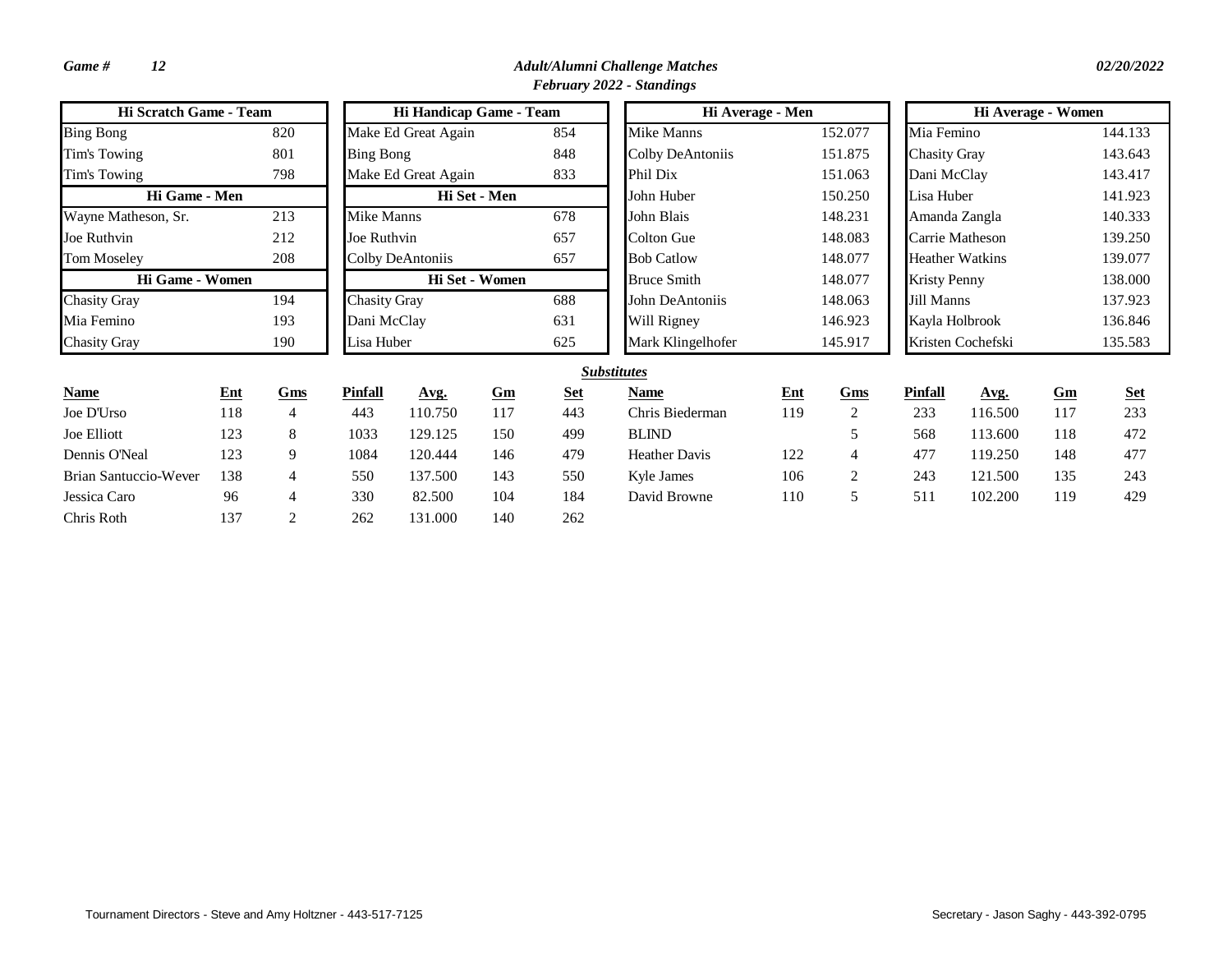| <b>Hi Scratch Game - Team</b> |            |                     |                  | Hi Handicap Game - Team |                |                 |                      | Hi Average - Men |                |                     | Hi Average - Women     |         |            |
|-------------------------------|------------|---------------------|------------------|-------------------------|----------------|-----------------|----------------------|------------------|----------------|---------------------|------------------------|---------|------------|
| <b>Bing Bong</b>              |            | 820                 |                  | Make Ed Great Again     |                | 854             | <b>Mike Manns</b>    |                  | 152.077        | Mia Femino          |                        |         | 144.133    |
| Tim's Towing                  |            | 801                 | <b>Bing Bong</b> |                         |                | 848             | Colby DeAntoniis     |                  | 151.875        | <b>Chasity Gray</b> |                        |         | 143.643    |
| Tim's Towing                  |            | 798                 |                  | Make Ed Great Again     |                | 833             | Phil Dix             |                  | 151.063        | Dani McClay         |                        |         | 143.417    |
| Hi Game - Men                 |            |                     |                  |                         | Hi Set - Men   |                 | John Huber           |                  | 150.250        | Lisa Huber          |                        |         | 141.923    |
| Wayne Matheson, Sr.           |            | 213                 | Mike Manns       |                         |                | 678             | John Blais           |                  | 148.231        | Amanda Zangla       |                        |         | 140.333    |
| Joe Ruthvin                   |            | 212                 | Joe Ruthvin      |                         |                | 657             | Colton Gue           |                  | 148.083        | Carrie Matheson     |                        |         | 139.250    |
| <b>Tom Moseley</b>            |            | 208                 |                  | Colby DeAntoniis        |                | 657             | <b>Bob Catlow</b>    |                  | 148.077        |                     | <b>Heather Watkins</b> |         | 139.077    |
| Hi Game - Women               |            |                     |                  |                         | Hi Set - Women |                 | <b>Bruce Smith</b>   |                  | 148.077        | <b>Kristy Penny</b> |                        |         | 138.000    |
| <b>Chasity Gray</b>           | 194        | <b>Chasity Gray</b> |                  |                         | 688            | John DeAntoniis |                      | 148.063          | Jill Manns     |                     |                        | 137.923 |            |
| Mia Femino                    |            |                     | Dani McClay      |                         |                | 631             | Will Rigney          |                  | 146.923        | Kayla Holbrook      |                        |         | 136.846    |
| <b>Chasity Gray</b>           |            | 190                 | Lisa Huber       |                         |                | 625             | Mark Klingelhofer    |                  | 145.917        |                     | Kristen Cochefski      |         | 135.583    |
|                               |            |                     |                  |                         |                |                 | <b>Substitutes</b>   |                  |                |                     |                        |         |            |
| <b>Name</b>                   | <b>Ent</b> | Gms                 | <b>Pinfall</b>   | Avg.                    | Gm             | <b>Set</b>      | <b>Name</b>          | $Ent$            | Gms            | <b>Pinfall</b>      | Avg.                   | Gm      | <b>Set</b> |
| Joe D'Urso                    | 118        | $\overline{4}$      | 443              | 110.750                 | 117            | 443             | Chris Biederman      | 119              | 2              | 233                 | 116.500                | 117     | 233        |
| Joe Elliott                   | 123        | 8                   | 1033             | 129.125                 | 150            | 499             | <b>BLIND</b>         |                  | 5              | 568                 | 113.600                | 118     | 472        |
| Dennis O'Neal                 | 123        | 9                   | 1084             | 120.444                 | 146            | 479             | <b>Heather Davis</b> | 122              | $\overline{4}$ | 477                 | 119.250                | 148     | 477        |
| Brian Santuccio-Wever         | 138        | $\overline{4}$      | 550              | 137.500                 | 143            | 550             | Kyle James           | 106              | $\overline{2}$ | 243                 | 121.500                | 135     | 243        |
| Jessica Caro                  | 96         | $\overline{4}$      | 330              | 82.500                  | 104            | 184             | David Browne         | 110              | 5              | 511                 | 102.200                | 119     | 429        |
| Chris Roth                    | 137        | $\overline{2}$      | 262              | 131.000                 | 140            | 262             |                      |                  |                |                     |                        |         |            |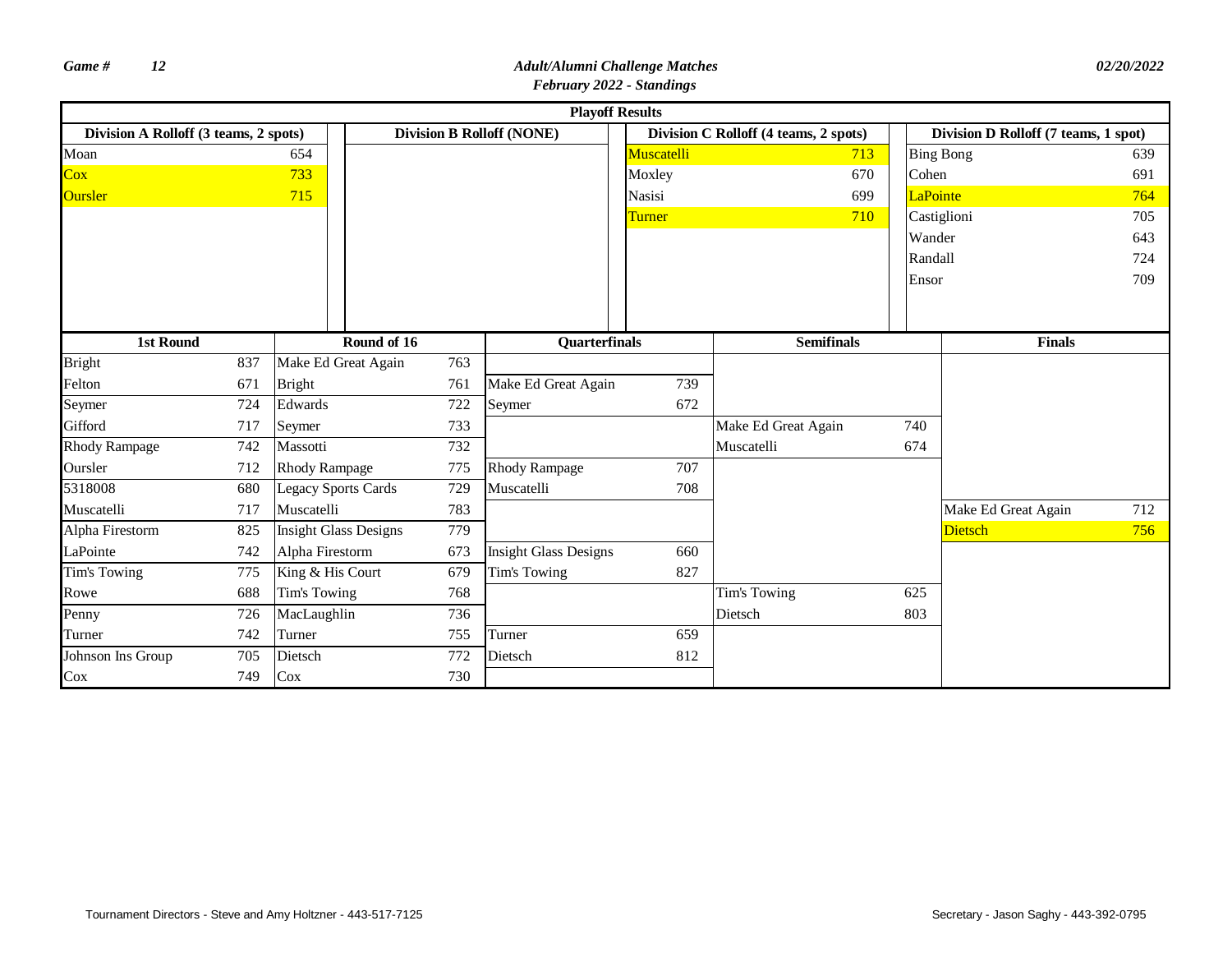|                                       |     |                      |                              |     |                                  | <b>Playoff Results</b> |                                       |                 |                                      |     |
|---------------------------------------|-----|----------------------|------------------------------|-----|----------------------------------|------------------------|---------------------------------------|-----------------|--------------------------------------|-----|
| Division A Rolloff (3 teams, 2 spots) |     |                      |                              |     | <b>Division B Rolloff (NONE)</b> |                        | Division C Rolloff (4 teams, 2 spots) |                 | Division D Rolloff (7 teams, 1 spot) |     |
| Moan                                  |     | 654                  |                              |     |                                  | Muscatelli             | 713                                   |                 | <b>Bing Bong</b>                     | 639 |
| $\overline{\text{Cox}}$               |     | 733                  |                              |     |                                  | Moxley                 | 670                                   | Cohen           |                                      | 691 |
| <b>Oursler</b>                        |     | 715                  |                              |     |                                  | <b>Nasisi</b>          | 699                                   | <b>LaPointe</b> |                                      | 764 |
|                                       |     |                      |                              |     |                                  | Turner                 | 710                                   |                 | Castiglioni                          | 705 |
|                                       |     |                      |                              |     |                                  |                        |                                       | Wander          |                                      | 643 |
|                                       |     |                      |                              |     |                                  |                        |                                       | Randall         |                                      | 724 |
|                                       |     |                      |                              |     |                                  |                        |                                       | Ensor           |                                      | 709 |
|                                       |     |                      |                              |     |                                  |                        |                                       |                 |                                      |     |
|                                       |     |                      |                              |     |                                  |                        |                                       |                 |                                      |     |
| 1st Round                             |     |                      | Round of 16                  |     | Quarterfinals                    |                        | <b>Semifinals</b>                     |                 | <b>Finals</b>                        |     |
| <b>Bright</b>                         | 837 |                      | Make Ed Great Again          | 763 |                                  |                        |                                       |                 |                                      |     |
| Felton                                | 671 | <b>Bright</b>        |                              | 761 | Make Ed Great Again              | 739                    |                                       |                 |                                      |     |
| Seymer                                | 724 | Edwards              |                              | 722 | Seymer                           | 672                    |                                       |                 |                                      |     |
| Gifford                               | 717 | Seymer               |                              | 733 |                                  |                        | Make Ed Great Again                   | 740             |                                      |     |
| <b>Rhody Rampage</b>                  | 742 | Massotti             |                              | 732 |                                  |                        | Muscatelli                            | 674             |                                      |     |
| Oursler                               | 712 | <b>Rhody Rampage</b> |                              | 775 | <b>Rhody Rampage</b>             | 707                    |                                       |                 |                                      |     |
| 5318008                               | 680 |                      | <b>Legacy Sports Cards</b>   | 729 | Muscatelli                       | 708                    |                                       |                 |                                      |     |
| Muscatelli                            | 717 | Muscatelli           |                              | 783 |                                  |                        |                                       |                 | Make Ed Great Again                  | 712 |
| Alpha Firestorm                       | 825 |                      | <b>Insight Glass Designs</b> | 779 |                                  |                        |                                       |                 | <b>Dietsch</b>                       | 756 |
| LaPointe                              | 742 | Alpha Firestorm      |                              | 673 | <b>Insight Glass Designs</b>     | 660                    |                                       |                 |                                      |     |
| Tim's Towing                          | 775 | King & His Court     |                              | 679 | Tim's Towing                     | 827                    |                                       |                 |                                      |     |
| Rowe                                  | 688 | Tim's Towing         |                              | 768 |                                  |                        | Tim's Towing                          | 625             |                                      |     |
| Penny                                 | 726 | MacLaughlin          |                              | 736 |                                  |                        | Dietsch                               | 803             |                                      |     |
| Turner                                | 742 | Turner               |                              | 755 | Turner                           | 659                    |                                       |                 |                                      |     |
| Johnson Ins Group                     | 705 | Dietsch              |                              | 772 | Dietsch                          | 812                    |                                       |                 |                                      |     |
| Cox                                   | 749 | Cox                  |                              | 730 |                                  |                        |                                       |                 |                                      |     |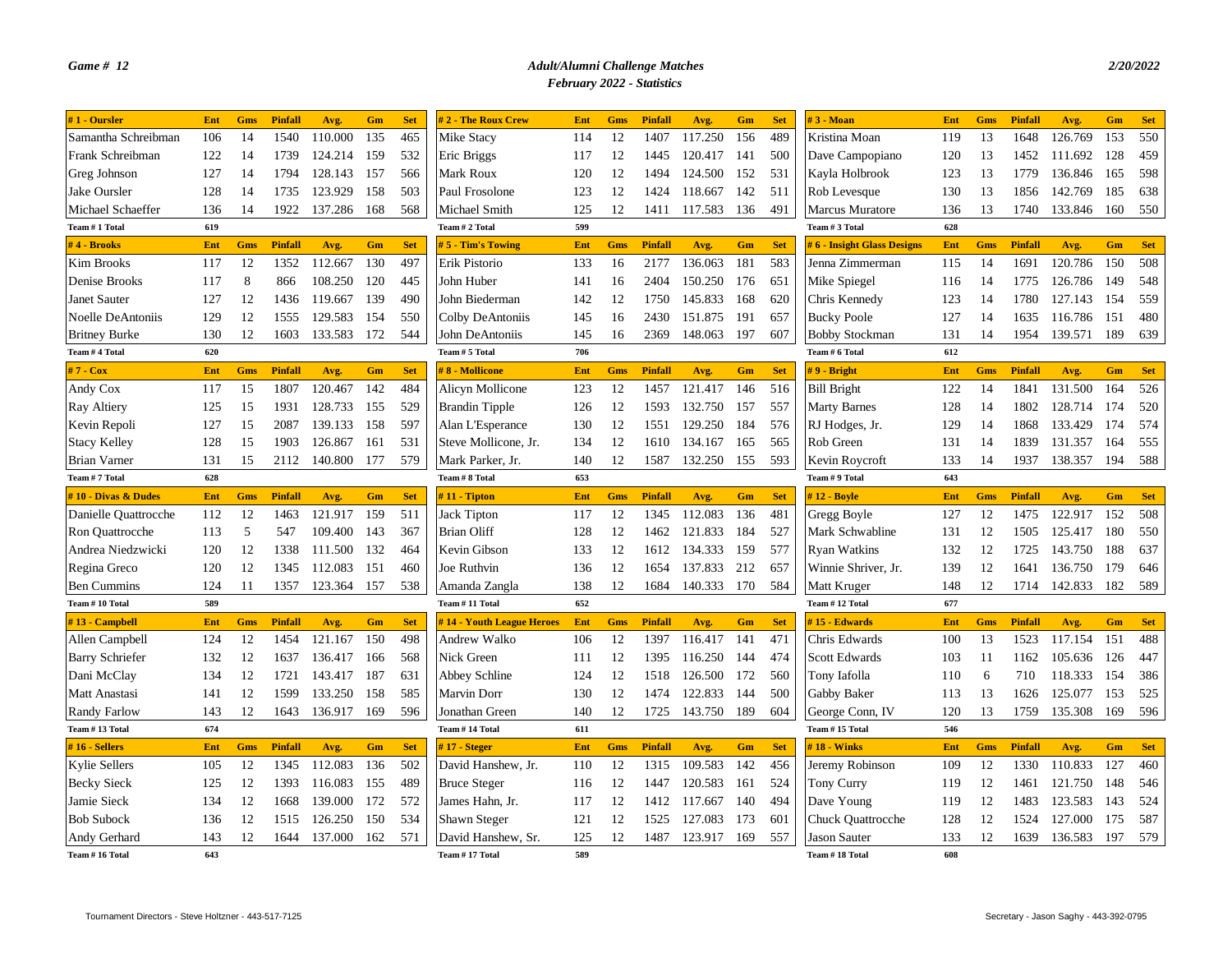| $# 1$ - Oursler        | Ent | Gms        | <b>Pinfall</b> | Avg.        | Gm  | <b>Set</b> | #2 - The Roux Crew        | Ent | <b>Gms</b> | Pinfall        | Avg.    | Gm  | <b>Set</b> | $#3 - Moan$                | Ent | Gms        | Pinfall        | Avg.    | Gm  | <b>Set</b> |
|------------------------|-----|------------|----------------|-------------|-----|------------|---------------------------|-----|------------|----------------|---------|-----|------------|----------------------------|-----|------------|----------------|---------|-----|------------|
| Samantha Schreibman    | 106 | 14         | 1540           | 110.000     | 135 | 465        | Mike Stacy                | 114 | 12         | 1407           | 117.250 | 156 | 489        | Kristina Moan              | 119 | 13         | 1648           | 126.769 | 153 | 550        |
| Frank Schreibman       | 122 | 14         | 1739           | 124.214     | 159 | 532        | Eric Briggs               | 117 | 12         | 1445           | 120.417 | 141 | 500        | Dave Campopiano            | 120 | 13         | 1452           | 111.692 | 128 | 459        |
| Greg Johnson           | 127 | 14         | 1794           | 128.143     | 157 | 566        | Mark Roux                 | 120 | 12         | 1494           | 124.500 | 152 | 531        | Kayla Holbrook             | 123 | 13         | 1779           | 136.846 | 165 | 598        |
| Jake Oursler           | 128 | 14         | 1735           | 123.929     | 158 | 503        | Paul Frosolone            | 123 | 12         | 1424           | 118.667 | 142 | 511        | Rob Levesque               | 130 | 13         | 1856           | 142.769 | 185 | 638        |
| Michael Schaeffer      | 136 | 14         | 1922           | 137.286     | 168 | 568        | Michael Smith             | 125 | 12         | 1411           | 117.583 | 136 | 491        | <b>Marcus Muratore</b>     | 136 | 13         | 1740           | 133.846 | 160 | 550        |
| Team #1 Total          | 619 |            |                |             |     |            | Team # 2 Total            | 599 |            |                |         |     |            | Team # 3 Total             | 628 |            |                |         |     |            |
| $#4$ - Brooks          | Ent | Gms        | <b>Pinfall</b> | Avg.        | Gm  | <b>Set</b> | 5 - Tim's Towing          | Ent | <b>Gms</b> | <b>Pinfall</b> | Avg.    | Gm  | <b>Set</b> | #6 - Insight Glass Designs | Ent | <b>Gms</b> | <b>Pinfall</b> | Avg.    | Gm  | <b>Set</b> |
| <b>Kim Brooks</b>      | 117 | 12         | 1352           | 112.667     | 130 | 497        | Erik Pistorio             | 133 | 16         | 2177           | 136.063 | 181 | 583        | Jenna Zimmerman            | 115 | 14         | 1691           | 120.786 | 150 | 508        |
| Denise Brooks          | 117 | 8          | 866            | 108.250     | 120 | 445        | John Huber                | 141 | 16         | 2404           | 150.250 | 176 | 651        | Mike Spiegel               | 116 | 14         | 1775           | 126.786 | 149 | 548        |
| Janet Sauter           | 127 | 12         | 1436           | 119.667     | 139 | 490        | John Biederman            | 142 | 12         | 1750           | 145.833 | 168 | 620        | Chris Kennedy              | 123 | 14         | 1780           | 127.143 | 154 | 559        |
| Noelle DeAntoniis      | 129 | 12         | 1555           | 129.583     | 154 | 550        | Colby DeAntoniis          | 145 | 16         | 2430           | 151.875 | 191 | 657        | <b>Bucky Poole</b>         | 127 | 14         | 1635           | 116.786 | 151 | 480        |
| <b>Britney Burke</b>   | 130 | 12         | 1603           | 133.583     | 172 | 544        | John DeAntoniis           | 145 | 16         | 2369           | 148.063 | 197 | 607        | <b>Bobby Stockman</b>      | 131 | 14         | 1954           | 139.571 | 189 | 639        |
| Team # 4 Total         | 620 |            |                |             |     |            | Team # 5 Total            | 706 |            |                |         |     |            | Team # 6 Total             | 612 |            |                |         |     |            |
| #7 - Cox               | Ent | Gms        | <b>Pinfall</b> | Avg.        | Gm  | <b>Set</b> | #8 - Mollicone            | Ent | <b>Gms</b> | Pinfall        | Avg.    | Gm  | <b>Set</b> | #9 - Bright                | Ent | <b>Gms</b> | <b>Pinfall</b> | Avg.    | Gm  | <b>Set</b> |
| Andy Cox               | 117 | 15         | 1807           | 120.467     | 142 | 484        | Alicyn Mollicone          | 123 | 12         | 1457           | 121.417 | 146 | 516        | <b>Bill Bright</b>         | 122 | 14         | 1841           | 131.500 | 164 | 526        |
| <b>Ray Altiery</b>     | 125 | 15         | 1931           | 128.733     | 155 | 529        | <b>Brandin Tipple</b>     | 126 | 12         | 1593           | 132.750 | 157 | 557        | <b>Marty Barnes</b>        | 128 | 14         | 1802           | 128.714 | 174 | 520        |
| Kevin Repoli           | 127 | 15         | 2087           | 139.133     | 158 | 597        | Alan L'Esperance          | 130 | 12         | 1551           | 129.250 | 184 | 576        | RJ Hodges, Jr.             | 129 | 14         | 1868           | 133.429 | 174 | 574        |
| <b>Stacy Kelley</b>    | 128 | 15         | 1903           | 126.867     | 161 | 531        | Steve Mollicone, Jr.      | 134 | 12         | 1610           | 134.167 | 165 | 565        | Rob Green                  | 131 | 14         | 1839           | 131.357 | 164 | 555        |
| <b>Brian Varner</b>    | 131 | 15         | 2112           | 140.800     | 177 | 579        | Mark Parker, Jr.          | 140 | 12         | 1587           | 132.250 | 155 | 593        | Kevin Roycroft             | 133 | 14         | 1937           | 138.357 | 194 | 588        |
| Team #7 Total          | 628 |            |                |             |     |            | Team # 8 Total            | 653 |            |                |         |     |            | Team # 9 Total             | 643 |            |                |         |     |            |
| #10 - Divas & Dudes    | Ent | Gms        | <b>Pinfall</b> | Avg.        | Gm  | <b>Set</b> | $# 11 - Tipton$           | Ent | Gms        | <b>Pinfall</b> | Avg.    | Gm  | <b>Set</b> | $#12 - Bovle$              | Ent | Gms        | <b>Pinfall</b> | Avg.    | Gm  | <b>Set</b> |
| Danielle Quattrocche   | 112 | 12         | 1463           | 121.917     | 159 | 511        | <b>Jack Tipton</b>        | 117 | 12         | 1345           | 112.083 | 136 | 481        | Gregg Boyle                | 127 | 12         | 1475           | 122.917 | 152 | 508        |
| Ron Quattrocche        | 113 | 5          | 547            | 109.400     | 143 | 367        | <b>Brian Oliff</b>        | 128 | 12         | 1462           | 121.833 | 184 | 527        | Mark Schwabline            | 131 | 12         | 1505           | 125.417 | 180 | 550        |
| Andrea Niedzwicki      | 120 | 12         | 1338           | 111.500     | 132 | 464        | Kevin Gibson              | 133 | 12         | 1612           | 134.333 | 159 | 577        | <b>Ryan Watkins</b>        | 132 | 12         | 1725           | 143.750 | 188 | 637        |
| Regina Greco           | 120 | 12         | 1345           | 112.083     | 151 | 460        | Joe Ruthvin               | 136 | 12         | 1654           | 137.833 | 212 | 657        | Winnie Shriver, Jr.        | 139 | 12         | 1641           | 136.750 | 179 | 646        |
| <b>Ben Cummins</b>     | 124 | 11         | 1357           | 123.364     | 157 | 538        | Amanda Zangla             | 138 | 12         | 1684           | 140.333 | 170 | 584        | Matt Kruger                | 148 | 12         | 1714           | 142.833 | 182 | 589        |
| Team # 10 Total        | 589 |            |                |             |     |            | Team #11 Total            | 652 |            |                |         |     |            | Team #12 Total             | 677 |            |                |         |     |            |
| #13 - Campbell         | Ent | <b>Gms</b> | <b>Pinfall</b> | Avg.        | Gm  | <b>Set</b> | #14 - Youth League Heroes | Ent | <b>Gms</b> | Pinfall        | Avg.    | Gm  | <b>Set</b> | #15 - Edwards              | Ent | <b>Gms</b> | <b>Pinfall</b> | Avg.    | Gm  | <b>Set</b> |
| Allen Campbell         | 124 | 12         | 1454           | 121.167     | 150 | 498        | Andrew Walko              | 106 | 12         | 1397           | 116.417 | 141 | 471        | Chris Edwards              | 100 | 13         | 1523           | 117.154 | 151 | 488        |
| <b>Barry Schriefer</b> | 132 | 12         | 1637           | 136.417     | 166 | 568        | Nick Green                | 111 | 12         | 1395           | 116.250 | 144 | 474        | Scott Edwards              | 103 | 11         | 1162           | 105.636 | 126 | 447        |
| Dani McClay            | 134 | 12         | 1721           | 143.417 187 |     | 631        | Abbey Schline             | 124 | 12         | 1518           | 126.500 | 172 | 560        | Tony Iafolla               | 110 | 6          | 710            | 118.333 | 154 | 386        |
| Matt Anastasi          | 141 | 12         | 1599           | 133.250     | 158 | 585        | <b>Marvin Dorr</b>        | 130 | 12         | 1474           | 122.833 | 144 | 500        | Gabby Baker                | 113 | 13         | 1626           | 125.077 | 153 | 525        |
| <b>Randy Farlow</b>    | 143 | 12         | 1643           | 136.917     | 169 | 596        | Jonathan Green            | 140 | 12         | 1725           | 143.750 | 189 | 604        | George Conn, IV            | 120 | 13         | 1759           | 135.308 | 169 | 596        |
| Team #13 Total         | 674 |            |                |             |     |            | Team #14 Total            | 611 |            |                |         |     |            | Team #15 Total             | 546 |            |                |         |     |            |
| $#16 - Sellers$        | Ent | Gms        | <b>Pinfall</b> | Avg.        | Gm  | <b>Set</b> | #17 - Steger              | Ent | <b>Gms</b> | <b>Pinfall</b> | Avg.    | Gm  | <b>Set</b> | $#18 - Winks$              | Ent | <b>Gms</b> | <b>Pinfall</b> | Avg.    | Gm  | <b>Set</b> |
| <b>Kylie Sellers</b>   | 105 | 12         | 1345           | 112.083     | 136 | 502        | David Hanshew, Jr.        | 110 | 12         | 1315           | 109.583 | 142 | 456        | Jeremy Robinson            | 109 | 12         | 1330           | 110.833 | 127 | 460        |
| <b>Becky Sieck</b>     | 125 | 12         | 1393           | 116.083     | 155 | 489        | <b>Bruce Steger</b>       | 116 | 12         | 1447           | 120.583 | 161 | 524        | <b>Tony Curry</b>          | 119 | 12         | 1461           | 121.750 | 148 | 546        |
| Jamie Sieck            | 134 | 12         | 1668           | 139.000     | 172 | 572        | James Hahn, Jr.           | 117 | 12         | 1412           | 117.667 | 140 | 494        | Dave Young                 | 119 | 12         | 1483           | 123.583 | 143 | 524        |
| <b>Bob Subock</b>      | 136 | 12         | 1515           | 126.250     | 150 | 534        | Shawn Steger              | 121 | 12         | 1525           | 127.083 | 173 | 601        | <b>Chuck Quattrocche</b>   | 128 | 12         | 1524           | 127.000 | 175 | 587        |
| Andy Gerhard           | 143 | 12         | 1644           | 137.000     | 162 | 571        | David Hanshew, Sr.        | 125 | 12         | 1487           | 123.917 | 169 | 557        | Jason Sauter               | 133 | 12         | 1639           | 136.583 | 197 | 579        |
| Team #16 Total         | 643 |            |                |             |     |            | Team #17 Total            | 589 |            |                |         |     |            | Team #18 Total             | 608 |            |                |         |     |            |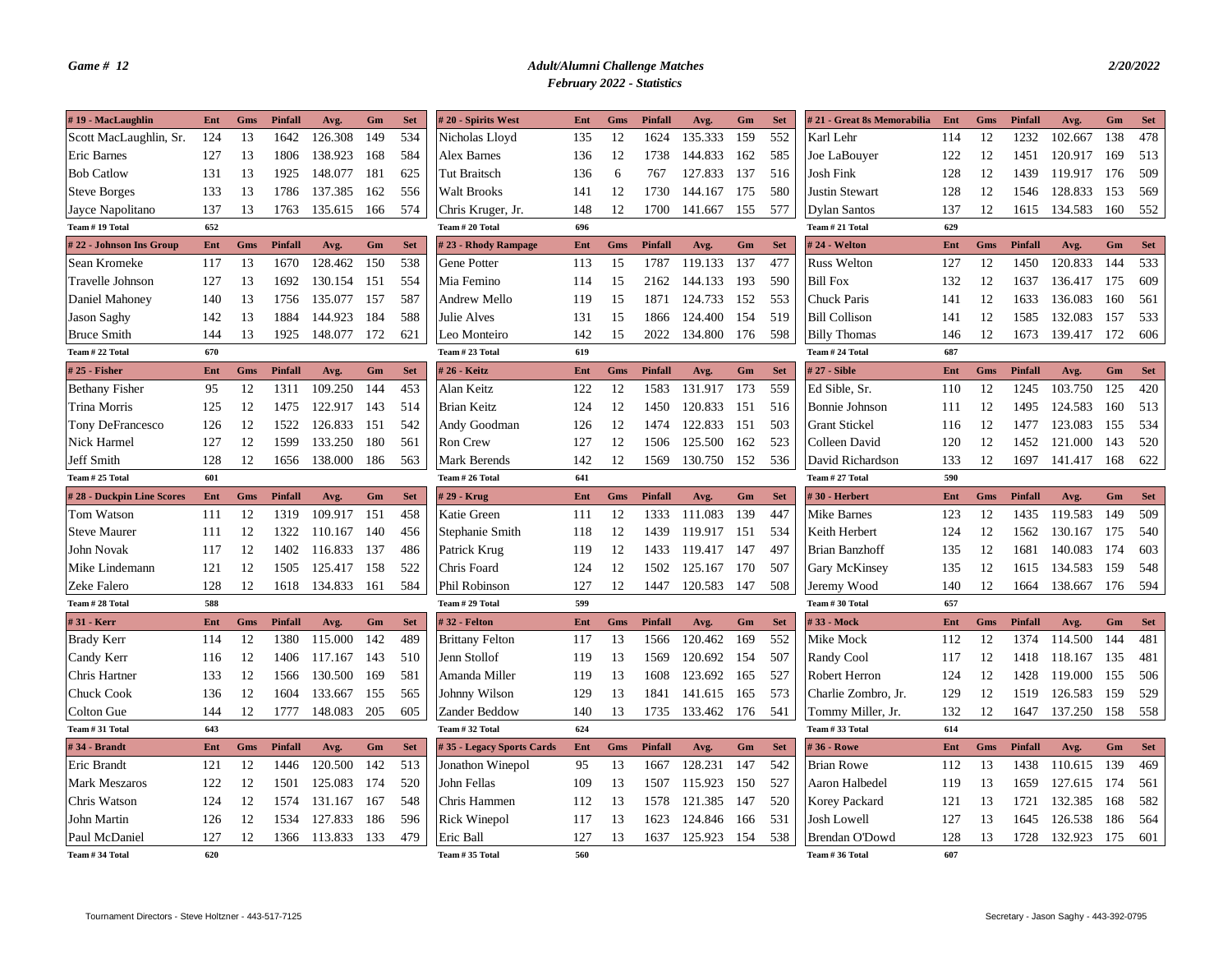| #19 - MacLaughlin                  | Ent        | Gms<br>13 | Pinfall<br>1642 | Avg.<br>126.308 | Gm<br>149 | <b>Set</b><br>534 | #20 - Spirits West                        | Ent<br>135 | Gms<br>12 | Pinfall<br>1624 | Avg.<br>135.333    | Gm<br>159 | <b>Set</b><br>552 | # 21 - Great 8s Memorabilia<br>Karl Lehr | Ent<br>114 | Gms<br>12  | Pinfall<br>1232 | Avg.<br>102.667 | Gm<br>138  | <b>Set</b><br>478 |
|------------------------------------|------------|-----------|-----------------|-----------------|-----------|-------------------|-------------------------------------------|------------|-----------|-----------------|--------------------|-----------|-------------------|------------------------------------------|------------|------------|-----------------|-----------------|------------|-------------------|
| Scott MacLaughlin, Sr.             | 124        |           |                 |                 | 168       | 584               | Nicholas Lloyd                            |            |           | 1738            | 144.833            | 162       | 585               |                                          |            | 12         |                 |                 | 169        | 513               |
| <b>Eric Barnes</b>                 | 127        | 13        | 1806            | 138.923         |           |                   | Alex Barnes                               | 136        | 12        |                 |                    |           | 516               | Joe LaBouyer<br>Josh Fink                | 122        |            | 1451            | 120.917         |            |                   |
| <b>Bob Catlow</b>                  | 131        | 13        | 1925            | 148.077         | 181       | 625               | <b>Tut Braitsch</b><br><b>Walt Brooks</b> | 136        | 6         | 767<br>1730     | 127.833<br>144.167 | 137       | 580               | Justin Stewart                           | 128        | 12         | 1439            | 119.917         | 176<br>153 | 509               |
| <b>Steve Borges</b>                | 133        | 13        | 1786            | 137.385         | 162       | 556               |                                           | 141        | 12        |                 |                    | 175       |                   |                                          | 128        | 12         | 1546            | 128.833         |            | 569               |
| Jayce Napolitano<br>Team #19 Total | 137<br>652 | 13        | 1763            | 135.615         | 166       | 574               | Chris Kruger, Jr.<br>Team # 20 Total      | 148<br>696 | 12        | 1700            | 141.667            | 155       | 577               | Dylan Santos<br>Team # 21 Total          | 137<br>629 | 12         | 1615            | 134.583         | 160        | 552               |
|                                    |            |           |                 |                 |           |                   |                                           |            |           |                 |                    |           |                   |                                          |            |            |                 |                 |            |                   |
| #22 - Johnson Ins Group            | Ent        | Gms       | Pinfall         | Avg.            | Gm        | <b>Set</b>        | #23 - Rhody Rampage                       | Ent        | Gms       | Pinfall         | Avg.               | Gm        | <b>Set</b>        | #24 - Welton                             | Ent        | Gms        | <b>Pinfall</b>  | Avg.            | Gm         | <b>Set</b>        |
| Sean Kromeke                       | 117        | 13        | 1670            | 128.462         | 150       | 538               | Gene Potter                               | 113        | 15        | 1787            | 119.133            | 137       | 477               | <b>Russ Welton</b>                       | 127        | 12         | 1450            | 120.833         | 144        | 533               |
| Travelle Johnson                   | 127        | 13        | 1692            | 130.154         | 151       | 554               | Mia Femino                                | 114        | 15        | 2162            | 144.133            | 193       | 590               | <b>Bill Fox</b>                          | 132        | 12         | 1637            | 136.417         | 175        | 609               |
| Daniel Mahoney                     | 140        | 13        | 1756            | 135.077         | 157       | 587               | Andrew Mello                              | 119        | 15        | 1871            | 124.733            | 152       | 553               | Chuck Paris                              | 141        | 12         | 1633            | 136.083         | 160        | 561               |
| <b>Jason Saghy</b>                 | 142        | 13        | 1884            | 144.923         | 184       | 588               | Julie Alves                               | 131        | 15        | 1866            | 124.400            | 154       | 519               | <b>Bill Collison</b>                     | 141        | 12         | 1585            | 132.083         | 157        | 533               |
| <b>Bruce Smith</b>                 | 144        | 13        | 1925            | 148.077         | 172       | 621               | Leo Monteiro                              | 142        | 15        | 2022            | 134.800            | 176       | 598               | <b>Billy Thomas</b>                      | 146        | 12         | 1673            | 139.417         | 172        | 606               |
| Team # 22 Total                    | 670        |           |                 |                 |           |                   | Team # 23 Total                           | 619        |           |                 |                    |           |                   | Team # 24 Total                          | 687        |            |                 |                 |            |                   |
| $#25$ - Fisher                     | Ent        | Gms       | Pinfall         | Avg.            | Gm        | <b>Set</b>        | # 26 - Keitz                              | Ent        | Gms       | Pinfall         | Avg.               | Gm        | <b>Set</b>        | # 27 - Sible                             | Ent        | Gms        | <b>Pinfall</b>  | Avg.            | Gm         | <b>Set</b>        |
| <b>Bethany Fisher</b>              | 95         | 12        | 1311            | 109.250         | 144       | 453               | Alan Keitz                                | 122        | 12        | 1583            | 131.917            | 173       | 559               | Ed Sible, Sr.                            | 110        | 12         | 1245            | 103.750         | 125        | 420               |
| Trina Morris                       | 125        | 12        | 1475            | 122.917         | 143       | 514               | <b>Brian Keitz</b>                        | 124        | 12        | 1450            | 120.833            | 151       | 516               | Bonnie Johnson                           | 111        | 12         | 1495            | 124.583         | 160        | 513               |
| Tony DeFrancesco                   | 126        | 12        | 1522            | 126.833         | 151       | 542               | Andy Goodman                              | 126        | 12        | 1474            | 122.833            | 151       | 503               | <b>Grant Stickel</b>                     | 116        | 12         | 1477            | 123.083         | 155        | 534               |
| Nick Harmel                        | 127        | 12        | 1599            | 133.250         | 180       | 561               | <b>Ron Crew</b>                           | 127        | 12        | 1506            | 125.500            | 162       | 523               | Colleen David                            | 120        | 12         | 1452            | 121.000         | 143        | 520               |
| Jeff Smith                         | 128        | 12        | 1656            | 138.000         | 186       | 563               | Mark Berends                              | 142        | 12        | 1569            | 130.750            | 152       | 536               | David Richardson                         | 133        | 12         | 1697            | 141.417         | 168        | 622               |
| Team # 25 Total                    | 601        |           |                 |                 |           |                   | Team # 26 Total                           | 641        |           |                 |                    |           |                   | Team # 27 Total                          | 590        |            |                 |                 |            |                   |
| #28 - Duckpin Line Scores          | Ent        | Gms       | Pinfall         | Avg.            | Gm        | <b>Set</b>        | # 29 - Krug                               | Ent        | Gms       | Pinfall         | Avg.               | Gm        | <b>Set</b>        | #30 - Herbert                            | Ent        | <b>Gms</b> | <b>Pinfall</b>  | Avg.            | Gm         | <b>Set</b>        |
| Tom Watson                         | 111        | 12        | 1319            | 109.917         | 151       | 458               | Katie Green                               | 111        | 12        | 1333            | 111.083            | 139       | 447               | Mike Barnes                              | 123        | 12         | 1435            | 119.583         | 149        | 509               |
| <b>Steve Maurer</b>                | 111        | 12        | 1322            | 110.167         | 140       | 456               | Stephanie Smith                           | 118        | 12        | 1439            | 119.917            | 151       | 534               | Keith Herbert                            | 124        | 12         | 1562            | 130.167         | 175        | 540               |
| John Novak                         | 117        | 12        | 1402            | 116.833         | 137       | 486               | Patrick Krug                              | 119        | 12        | 1433            | 119.417            | 147       | 497               | <b>Brian Banzhoff</b>                    | 135        | 12         | 1681            | 140.083         | 174        | 603               |
| Mike Lindemann                     | 121        | 12        | 1505            | 125.417         | 158       | 522               | Chris Foard                               | 124        | 12        | 1502            | 125.167            | 170       | 507               | <b>Gary McKinsey</b>                     | 135        | 12         | 1615            | 134.583         | 159        | 548               |
| Zeke Falero                        | 128        | 12        | 1618            | 134.833         | 161       | 584               | Phil Robinson                             | 127        | 12        | 1447            | 120.583            | 147       | 508               | Jeremy Wood                              | 140        | 12         | 1664            | 138.667         | 176        | 594               |
| Team # 28 Total                    | 588        |           |                 |                 |           |                   | Team # 29 Total                           | 599        |           |                 |                    |           |                   | Team # 30 Total                          | 657        |            |                 |                 |            |                   |
| #31 - Kerr                         | Ent        | Gms       | Pinfall         | Avg.            | Gm        | <b>Set</b>        | #32 - Felton                              | Ent        | Gms       | Pinfall         | Avg.               | Gm        | <b>Set</b>        | #33 - Mock                               | Ent        | Gms        | Pinfall         | Avg.            | Gm         | <b>Set</b>        |
| <b>Brady Kerr</b>                  | 114        | 12        | 1380            | 115.000         | 142       | 489               | <b>Brittany Felton</b>                    | 117        | 13        | 1566            | 120.462            | 169       | 552               | Mike Mock                                | 112        | 12         | 1374            | 114.500         | 144        | 481               |
| Candy Kerr                         | 116        | 12        | 1406            | 117.167         | 143       | 510               | Jenn Stollof                              | 119        | 13        | 1569            | 120.692            | 154       | 507               | Randy Cool                               | 117        | 12         | 1418            | 118.167         | 135        | 481               |
| Chris Hartner                      | 133        | 12        | 1566            | 130.500         | 169       | 581               | Amanda Miller                             | 119        | 13        | 1608            | 123.692            | 165       | 527               | Robert Herron                            | 124        | 12         | 1428            | 119.000         | 155        | 506               |
| Chuck Cook                         | 136        | 12        | 1604            | 133.667         | 155       | 565               | Johnny Wilson                             | 129        | 13        | 1841            | 141.615            | 165       | 573               | Charlie Zombro, Jr.                      | 129        | 12         | 1519            | 126.583         | 159        | 529               |
| Colton Gue                         | 144        | 12        | 1777            | 148.083         | 205       | 605               | Zander Beddow                             | 140        | 13        | 1735            | 133.462            | 176       | 541               | Tommy Miller, Jr.                        | 132        | 12         | 1647            | 137.250         | 158        | 558               |
| Team # 31 Total                    | 643        |           |                 |                 |           |                   | Team # 32 Total                           | 624        |           |                 |                    |           |                   | Team # 33 Total                          | 614        |            |                 |                 |            |                   |
| #34 - Brandt                       | Ent        | Gms       | Pinfall         | Avg.            | Gm        | <b>Set</b>        | #35 - Legacy Sports Cards                 | Ent        | Gms       | <b>Pinfall</b>  | Avg.               | Gm        | <b>Set</b>        | #36 - Rowe                               | Ent        | Gms        | <b>Pinfall</b>  | Avg.            | Gm         | <b>Set</b>        |
| Eric Brandt                        | 121        | 12        | 1446            | 120.500         | 142       | 513               | Jonathon Winepol                          | 95         | 13        | 1667            | 128.231            | 147       | 542               | <b>Brian Rowe</b>                        | 112        | 13         | 1438            | 110.615         | 139        | 469               |
| <b>Mark Meszaros</b>               | 122        | 12        | 1501            | 125.083         | 174       | 520               | John Fellas                               | 109        | 13        | 1507            | 115.923            | 150       | 527               | Aaron Halbedel                           | 119        | 13         | 1659            | 127.615         | 174        | 561               |
| Chris Watson                       | 124        | 12        | 1574            | 131.167         | 167       | 548               | Chris Hammen                              | 112        | 13        | 1578            | 121.385            | 147       | 520               | Korey Packard                            | 121        | 13         | 1721            | 132.385         | 168        | 582               |
| John Martin                        | 126        | 12        | 1534            | 127.833         | 186       | 596               | <b>Rick Winepol</b>                       | 117        | 13        | 1623            | 124.846            | 166       | 531               | Josh Lowell                              | 127        | 13         | 1645            | 126.538         | 186        | 564               |
| Paul McDaniel                      | 127        | 12        | 1366            | 113.833         | 133       | 479               | Eric Ball                                 | 127        | 13        | 1637            | 125.923            | 154       | 538               | Brendan O'Dowd                           | 128        | 13         | 1728            | 132.923         | 175        | 601               |
| Team # 34 Total                    | 620        |           |                 |                 |           |                   | Team # 35 Total                           | 560        |           |                 |                    |           |                   | Team # 36 Total                          | 607        |            |                 |                 |            |                   |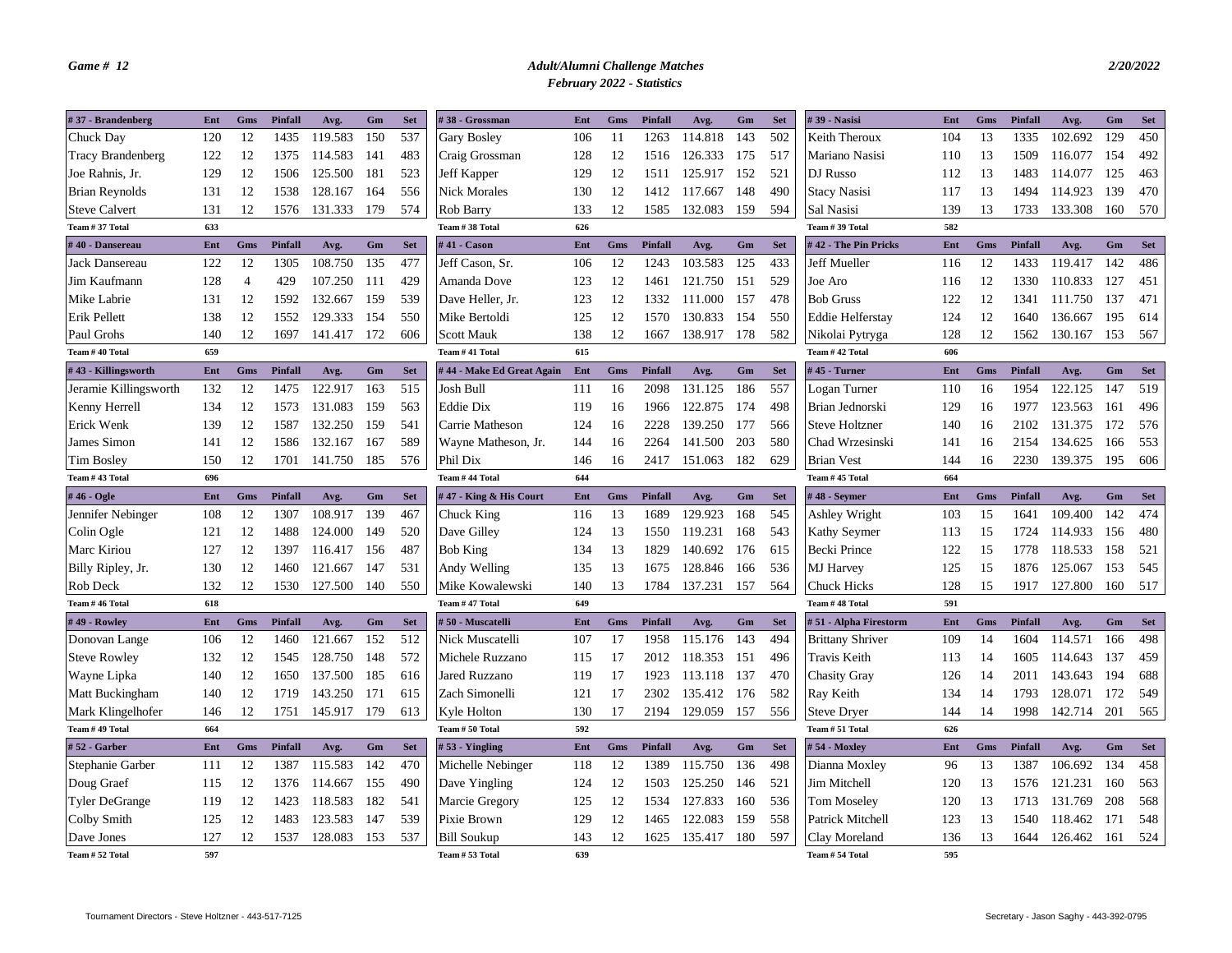| #37 - Brandenberg        | Ent | Gms            | <b>Pinfall</b> | Avg.    | Gm  | <b>Set</b> | #38 - Grossman             | Ent | Gms | Pinfall        | Avg.    | Gm  | <b>Set</b> | #39 - Nasisi            | Ent | Gms        | <b>Pinfall</b> | Avg.    | Gm  | <b>Set</b> |
|--------------------------|-----|----------------|----------------|---------|-----|------------|----------------------------|-----|-----|----------------|---------|-----|------------|-------------------------|-----|------------|----------------|---------|-----|------------|
| Chuck Day                | 120 | 12             | 1435           | 119.583 | 150 | 537        | Gary Bosley                | 106 | 11  | 1263           | 114.818 | 143 | 502        | Keith Theroux           | 104 | 13         | 1335           | 102.692 | 129 | 450        |
| <b>Tracy Brandenberg</b> | 122 | 12             | 1375           | 114.583 | 141 | 483        | Craig Grossman             | 128 | 12  | 1516           | 126.333 | 175 | 517        | Mariano Nasisi          | 110 | 13         | 1509           | 116.077 | 154 | 492        |
| Joe Rahnis, Jr.          | 129 | 12             | 1506           | 125.500 | 181 | 523        | <b>Jeff Kapper</b>         | 129 | 12  | 1511           | 125.917 | 152 | 521        | DJ Russo                | 112 | 13         | 1483           | 114.077 | 125 | 463        |
| <b>Brian Reynolds</b>    | 131 | 12             | 1538           | 128.167 | 164 | 556        | <b>Nick Morales</b>        | 130 | 12  | 1412           | 117.667 | 148 | 490        | <b>Stacy Nasisi</b>     | 117 | 13         | 1494           | 114.923 | 139 | 470        |
| <b>Steve Calvert</b>     | 131 | 12             | 1576           | 131.333 | 179 | 574        | Rob Barry                  | 133 | 12  | 1585           | 132.083 | 159 | 594        | Sal Nasisi              | 139 | 13         | 1733           | 133.308 | 160 | 570        |
| Team # 37 Total          | 633 |                |                |         |     |            | Team # 38 Total            | 626 |     |                |         |     |            | Team # 39 Total         | 582 |            |                |         |     |            |
| #40 - Dansereau          | Ent | Gms            | Pinfall        | Avg.    | Gm  | <b>Set</b> | #41 - Cason                | Ent | Gms | Pinfall        | Avg.    | Gm  | <b>Set</b> | #42 - The Pin Pricks    | Ent | Gms        | Pinfall        | Avg.    | Gm  | <b>Set</b> |
| Jack Dansereau           | 122 | 12             | 1305           | 108.750 | 135 | 477        | Jeff Cason, Sr.            | 106 | 12  | 1243           | 103.583 | 125 | 433        | Jeff Mueller            | 116 | 12         | 1433           | 119.417 | 142 | 486        |
| Jim Kaufmann             | 128 | $\overline{4}$ | 429            | 107.250 | 111 | 429        | Amanda Dove                | 123 | 12  | 1461           | 121.750 | 151 | 529        | Joe Aro                 | 116 | 12         | 1330           | 110.833 | 127 | 451        |
| Mike Labrie              | 131 | 12             | 1592           | 132.667 | 159 | 539        | Dave Heller, Jr.           | 123 | 12  | 1332           | 111.000 | 157 | 478        | <b>Bob Gruss</b>        | 122 | 12         | 1341           | 111.750 | 137 | 471        |
| Erik Pellett             | 138 | 12             | 1552           | 129.333 | 154 | 550        | Mike Bertoldi              | 125 | 12  | 1570           | 130.833 | 154 | 550        | <b>Eddie Helferstay</b> | 124 | 12         | 1640           | 136.667 | 195 | 614        |
| Paul Grohs               | 140 | 12             | 1697           | 141.417 | 172 | 606        | <b>Scott Mauk</b>          | 138 | 12  | 1667           | 138.917 | 178 | 582        | Nikolai Pytryga         | 128 | 12         | 1562           | 130.167 | 153 | 567        |
| Team #40 Total           | 659 |                |                |         |     |            | Team #41 Total             | 615 |     |                |         |     |            | Team #42 Total          | 606 |            |                |         |     |            |
| #43 - Killingsworth      | Ent | Gms            | Pinfall        | Avg.    | Gm  | <b>Set</b> | # 44 - Make Ed Great Again | Ent | Gms | <b>Pinfall</b> | Avg.    | Gm  | <b>Set</b> | #45 - Turner            | Ent | <b>Gms</b> | Pinfall        | Avg.    | Gm  | <b>Set</b> |
| Jeramie Killingsworth    | 132 | 12             | 1475           | 122.917 | 163 | 515        | Josh Bull                  | 111 | 16  | 2098           | 131.125 | 186 | 557        | Logan Turner            | 110 | 16         | 1954           | 122.125 | 147 | 519        |
| Kenny Herrell            | 134 | 12             | 1573           | 131.083 | 159 | 563        | <b>Eddie Dix</b>           | 119 | 16  | 1966           | 122.875 | 174 | 498        | Brian Jednorski         | 129 | 16         | 1977           | 123.563 | 161 | 496        |
| Erick Wenk               | 139 | 12             | 1587           | 132.250 | 159 | 541        | Carrie Matheson            | 124 | 16  | 2228           | 139.250 | 177 | 566        | <b>Steve Holtzner</b>   | 140 | 16         | 2102           | 131.375 | 172 | 576        |
| James Simon              | 141 | 12             | 1586           | 132.167 | 167 | 589        | Wayne Matheson, Jr.        | 144 | 16  | 2264           | 141.500 | 203 | 580        | Chad Wrzesinski         | 141 | 16         | 2154           | 134.625 | 166 | 553        |
| Tim Boslev               | 150 | 12             | 1701           | 141.750 | 185 | 576        | Phil Dix                   | 146 | 16  | 2417           | 151.063 | 182 | 629        | <b>Brian Vest</b>       | 144 | 16         | 2230           | 139.375 | 195 | 606        |
| Team #43 Total           | 696 |                |                |         |     |            | Team #44 Total             | 644 |     |                |         |     |            | Team #45 Total          | 664 |            |                |         |     |            |
| #46 - Ogle               | Ent | Gms            | Pinfall        | Avg.    | Gm  | <b>Set</b> | #47 - King & His Court     | Ent | Gms | Pinfall        | Avg.    | Gm  | <b>Set</b> | $#48 - Seymour$         | Ent | Gms        | Pinfall        | Avg.    | Gm  | <b>Set</b> |
| Jennifer Nebinger        | 108 | 12             | 1307           | 108.917 | 139 | 467        | Chuck King                 | 116 | 13  | 1689           | 129.923 | 168 | 545        | Ashley Wright           | 103 | 15         | 1641           | 109.400 | 142 | 474        |
| Colin Ogle               | 121 | 12             | 1488           | 124.000 | 149 | 520        | Dave Gilley                | 124 | 13  | 1550           | 119.231 | 168 | 543        | Kathy Seymer            | 113 | 15         | 1724           | 114.933 | 156 | 480        |
| Marc Kiriou              | 127 | 12             | 1397           | 116.417 | 156 | 487        | <b>Bob King</b>            | 134 | 13  | 1829           | 140.692 | 176 | 615        | Becki Prince            | 122 | 15         | 1778           | 118.533 | 158 | 521        |
| Billy Ripley, Jr.        | 130 | 12             | 1460           | 121.667 | 147 | 531        | Andy Welling               | 135 | 13  | 1675           | 128.846 | 166 | 536        | <b>MJ</b> Harvey        | 125 | 15         | 1876           | 125.067 | 153 | 545        |
| Rob Deck                 | 132 | 12             | 1530           | 127.500 | 140 | 550        | Mike Kowalewski            | 140 | 13  | 1784           | 137.231 | 157 | 564        | Chuck Hicks             | 128 | 15         | 1917           | 127.800 | 160 | 517        |
| Team #46 Total           | 618 |                |                |         |     |            | Team #47 Total             | 649 |     |                |         |     |            | Team #48 Total          | 591 |            |                |         |     |            |
| #49 - Rowley             | Ent | Gms            | Pinfall        | Avg.    | Gm  | <b>Set</b> | # 50 - Muscatelli          | Ent | Gms | Pinfall        | Avg.    | Gm  | <b>Set</b> | #51 - Alpha Firestorm   | Ent | Gms        | Pinfall        | Avg.    | Gm  | <b>Set</b> |
| Donovan Lange            | 106 | 12             | 1460           | 121.667 | 152 | 512        | Nick Muscatelli            | 107 | 17  | 1958           | 115.176 | 143 | 494        | <b>Brittany Shriver</b> | 109 | 14         | 1604           | 114.571 | 166 | 498        |
| <b>Steve Rowley</b>      | 132 | 12             | 1545           | 128.750 | 148 | 572        | Michele Ruzzano            | 115 | 17  | 2012           | 118.353 | 151 | 496        | Travis Keith            | 113 | 14         | 1605           | 114.643 | 137 | 459        |
| Wayne Lipka              | 140 | 12             | 1650           | 137.500 | 185 | 616        | Jared Ruzzano              | 119 | 17  | 1923           | 113.118 | 137 | 470        | Chasity Gray            | 126 | 14         | 2011           | 143.643 | 194 | 688        |
| Matt Buckingham          | 140 | 12             | 1719           | 143.250 | 171 | 615        | Zach Simonelli             | 121 | 17  | 2302           | 135.412 | 176 | 582        | Ray Keith               | 134 | 14         | 1793           | 128.071 | 172 | 549        |
| Mark Klingelhofer        | 146 | 12             | 1751           | 145.917 | 179 | 613        | Kyle Holton                | 130 | 17  | 2194           | 129.059 | 157 | 556        | <b>Steve Dryer</b>      | 144 | 14         | 1998           | 142.714 | 201 | 565        |
| Team #49 Total           |     |                |                |         |     |            |                            | 592 |     |                |         |     |            | Team # 51 Total         | 626 |            |                |         |     |            |
|                          | 664 |                |                |         |     |            | Team # 50 Total            |     |     |                |         |     |            |                         |     |            |                |         |     |            |
| $# 52 - Garker$          | Ent | Gms            | Pinfall        | Avg.    | Gm  | <b>Set</b> | #53 - Yingling             | Ent | Gms | <b>Pinfall</b> | Avg.    | Gm  | <b>Set</b> | #54 - Moxley            | Ent | Gms        | <b>Pinfall</b> | Avg.    | Gm  | <b>Set</b> |
| Stephanie Garber         | 111 | 12             | 1387           | 115.583 | 142 | 470        | Michelle Nebinger          | 118 | 12  | 1389           | 115.750 | 136 | 498        | Dianna Moxley           | 96  | 13         | 1387           | 106.692 | 134 | 458        |
| Doug Graef               | 115 | 12             | 1376           | 114.667 | 155 | 490        | Dave Yingling              | 124 | 12  | 1503           | 125.250 | 146 | 521        | Jim Mitchell            | 120 | 13         | 1576           | 121.231 | 160 | 563        |
| <b>Tyler DeGrange</b>    | 119 | 12             | 1423           | 118.583 | 182 | 541        | Marcie Gregory             | 125 | 12  | 1534           | 127.833 | 160 | 536        | Tom Moseley             | 120 | 13         | 1713           | 131.769 | 208 | 568        |
| Colby Smith              | 125 | 12             | 1483           | 123.583 | 147 | 539        | Pixie Brown                | 129 | 12  | 1465           | 122.083 | 159 | 558        | Patrick Mitchell        | 123 | 13         | 1540           | 118.462 | 171 | 548        |
| Dave Jones               | 127 | 12             | 1537           | 128.083 | 153 | 537        | <b>Bill Soukup</b>         | 143 | 12  | 1625           | 135.417 | 180 | 597        | Clay Moreland           | 136 | 13         | 1644           | 126.462 | 161 | 524        |